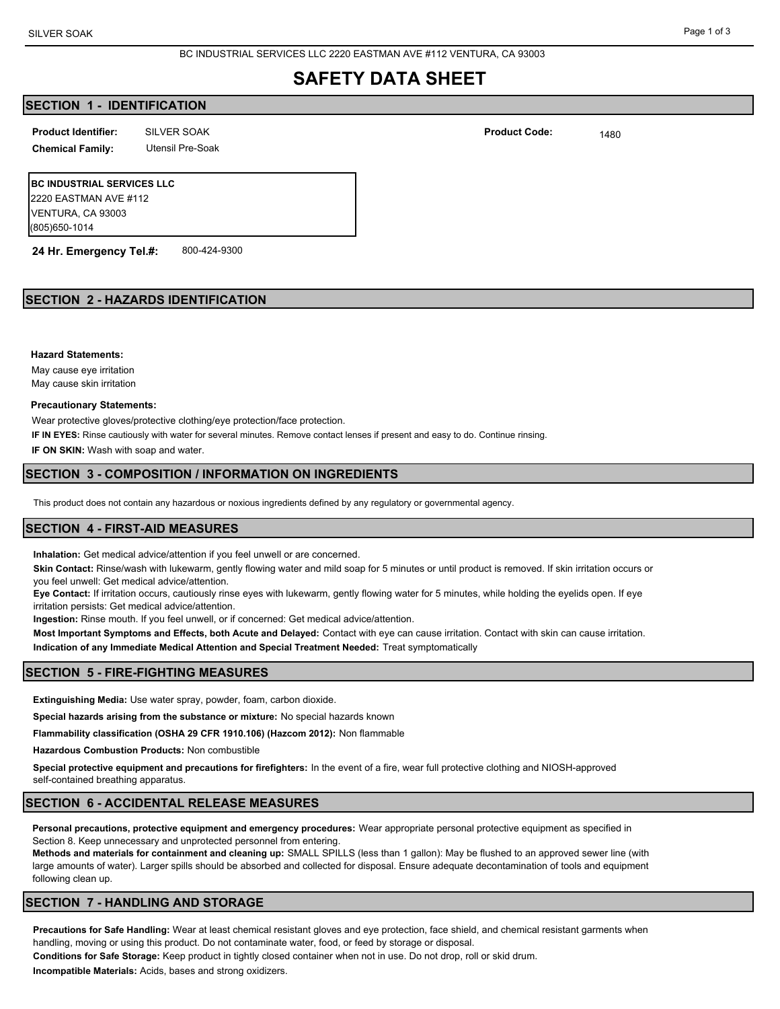BC INDUSTRIAL SERVICES LLC 2220 EASTMAN AVE #112 VENTURA, CA 93003

# **SAFETY DATA SHEET**

# **SECTION 1 - IDENTIFICATION**

SILVER SOAK 1480 **Product Identifier: Product Code:**

**Chemical Family:** Utensil Pre-Soak

**BC INDUSTRIAL SERVICES LLC** 2220 EASTMAN AVE #112 VENTURA, CA 93003 (805)650-1014

**24 Hr. Emergency Tel.#:** 800-424-9300

# **SECTION 2 - HAZARDS IDENTIFICATION**

**Hazard Statements:**

May cause eye irritation May cause skin irritation

#### **Precautionary Statements:**

Wear protective gloves/protective clothing/eye protection/face protection.

**IF IN EYES:** Rinse cautiously with water for several minutes. Remove contact lenses if present and easy to do. Continue rinsing.

**IF ON SKIN:** Wash with soap and water.

## **SECTION 3 - COMPOSITION / INFORMATION ON INGREDIENTS**

This product does not contain any hazardous or noxious ingredients defined by any regulatory or governmental agency.

## **SECTION 4 - FIRST-AID MEASURES**

**Inhalation:** Get medical advice/attention if you feel unwell or are concerned.

**Skin Contact:** Rinse/wash with lukewarm, gently flowing water and mild soap for 5 minutes or until product is removed. If skin irritation occurs or you feel unwell: Get medical advice/attention.

**Eye Contact:** If irritation occurs, cautiously rinse eyes with lukewarm, gently flowing water for 5 minutes, while holding the eyelids open. If eye irritation persists: Get medical advice/attention.

**Ingestion:** Rinse mouth. If you feel unwell, or if concerned: Get medical advice/attention.

**Most Important Symptoms and Effects, both Acute and Delayed:** Contact with eye can cause irritation. Contact with skin can cause irritation. **Indication of any Immediate Medical Attention and Special Treatment Needed:** Treat symptomatically

## **SECTION 5 - FIRE-FIGHTING MEASURES**

**Extinguishing Media:** Use water spray, powder, foam, carbon dioxide.

**Special hazards arising from the substance or mixture:** No special hazards known

**Flammability classification (OSHA 29 CFR 1910.106) (Hazcom 2012):** Non flammable

**Hazardous Combustion Products:** Non combustible

**Special protective equipment and precautions for firefighters:** In the event of a fire, wear full protective clothing and NIOSH-approved self-contained breathing apparatus.

## **SECTION 6 - ACCIDENTAL RELEASE MEASURES**

**Personal precautions, protective equipment and emergency procedures:** Wear appropriate personal protective equipment as specified in Section 8. Keep unnecessary and unprotected personnel from entering.

**Methods and materials for containment and cleaning up:** SMALL SPILLS (less than 1 gallon): May be flushed to an approved sewer line (with large amounts of water). Larger spills should be absorbed and collected for disposal. Ensure adequate decontamination of tools and equipment following clean up.

# **SECTION 7 - HANDLING AND STORAGE**

**Precautions for Safe Handling:** Wear at least chemical resistant gloves and eye protection, face shield, and chemical resistant garments when handling, moving or using this product. Do not contaminate water, food, or feed by storage or disposal.

**Conditions for Safe Storage:** Keep product in tightly closed container when not in use. Do not drop, roll or skid drum.

**Incompatible Materials:** Acids, bases and strong oxidizers.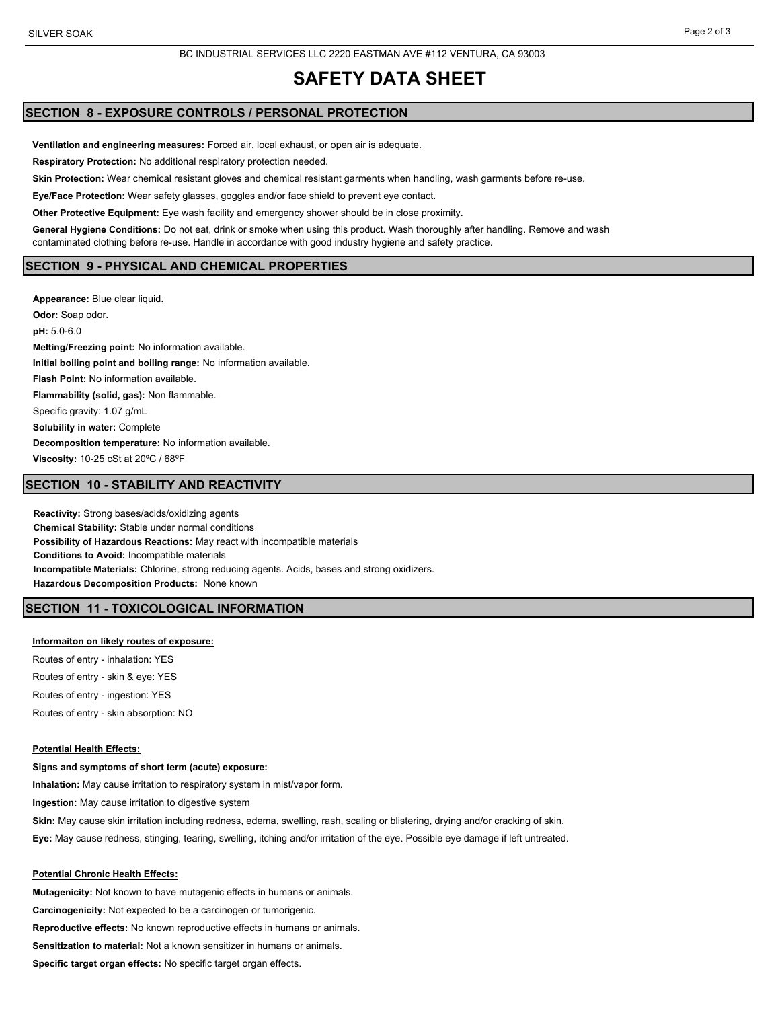#### BC INDUSTRIAL SERVICES LLC 2220 EASTMAN AVE #112 VENTURA, CA 93003

# **SAFETY DATA SHEET**

# **SECTION 8 - EXPOSURE CONTROLS / PERSONAL PROTECTION**

**Ventilation and engineering measures:** Forced air, local exhaust, or open air is adequate.

**Respiratory Protection:** No additional respiratory protection needed.

**Skin Protection:** Wear chemical resistant gloves and chemical resistant garments when handling, wash garments before re-use.

**Eye/Face Protection:** Wear safety glasses, goggles and/or face shield to prevent eye contact.

**Other Protective Equipment:** Eye wash facility and emergency shower should be in close proximity.

**General Hygiene Conditions:** Do not eat, drink or smoke when using this product. Wash thoroughly after handling. Remove and wash contaminated clothing before re-use. Handle in accordance with good industry hygiene and safety practice.

## **SECTION 9 - PHYSICAL AND CHEMICAL PROPERTIES**

**Appearance:** Blue clear liquid. **Odor:** Soap odor. **pH:** 5.0-6.0 **Melting/Freezing point:** No information available. **Initial boiling point and boiling range:** No information available. **Flash Point:** No information available. **Flammability (solid, gas):** Non flammable. Specific gravity: 1.07 g/mL **Solubility in water:** Complete **Decomposition temperature:** No information available. **Viscosity:** 10-25 cSt at 20ºC / 68ºF

## **SECTION 10 - STABILITY AND REACTIVITY**

**Reactivity:** Strong bases/acids/oxidizing agents **Chemical Stability:** Stable under normal conditions **Possibility of Hazardous Reactions:** May react with incompatible materials **Conditions to Avoid:** Incompatible materials **Incompatible Materials:** Chlorine, strong reducing agents. Acids, bases and strong oxidizers. **Hazardous Decomposition Products:** None known

## **SECTION 11 - TOXICOLOGICAL INFORMATION**

#### **Informaiton on likely routes of exposure:**

Routes of entry - inhalation: YES Routes of entry - skin & eye: YES Routes of entry - ingestion: YES Routes of entry - skin absorption: NO

#### **Potential Health Effects:**

#### **Signs and symptoms of short term (acute) exposure:**

**Inhalation:** May cause irritation to respiratory system in mist/vapor form.

**Ingestion:** May cause irritation to digestive system

**Skin:** May cause skin irritation including redness, edema, swelling, rash, scaling or blistering, drying and/or cracking of skin.

**Eye:** May cause redness, stinging, tearing, swelling, itching and/or irritation of the eye. Possible eye damage if left untreated.

## **Potential Chronic Health Effects:**

**Mutagenicity:** Not known to have mutagenic effects in humans or animals. **Carcinogenicity:** Not expected to be a carcinogen or tumorigenic. **Reproductive effects:** No known reproductive effects in humans or animals. **Sensitization to material:** Not a known sensitizer in humans or animals. **Specific target organ effects:** No specific target organ effects.